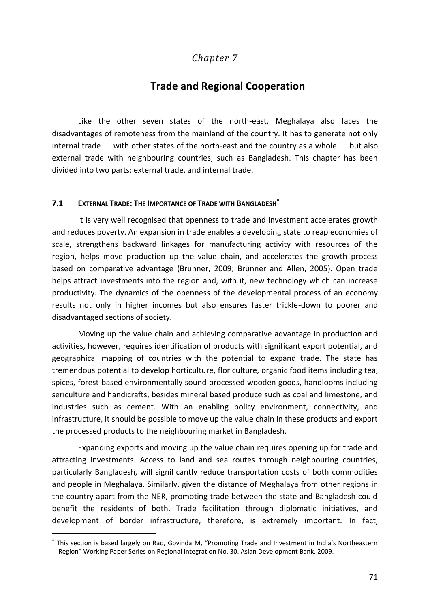# *Chapter 7*

# **Trade and Regional Cooperation**

Like the other seven states of the north-east, Meghalaya also faces the disadvantages of remoteness from the mainland of the country. It has to generate not only internal trade  $-$  with other states of the north-east and the country as a whole  $-$  but also external trade with neighbouring countries, such as Bangladesh. This chapter has been divided into two parts: external trade, and internal trade.

## **7.1 EXTERNAL TRADE: THE IMPORTANCE OF TRADE WITH BANGLADESH**

It is very well recognised that openness to trade and investment accelerates growth and reduces poverty. An expansion in trade enables a developing state to reap economies of scale, strengthens backward linkages for manufacturing activity with resources of the region, helps move production up the value chain, and accelerates the growth process based on comparative advantage (Brunner, 2009; Brunner and Allen, 2005). Open trade helps attract investments into the region and, with it, new technology which can increase productivity. The dynamics of the openness of the developmental process of an economy results not only in higher incomes but also ensures faster trickle-down to poorer and disadvantaged sections of society.

Moving up the value chain and achieving comparative advantage in production and activities, however, requires identification of products with significant export potential, and geographical mapping of countries with the potential to expand trade. The state has tremendous potential to develop horticulture, floriculture, organic food items including tea, spices, forest-based environmentally sound processed wooden goods, handlooms including sericulture and handicrafts, besides mineral based produce such as coal and limestone, and industries such as cement. With an enabling policy environment, connectivity, and infrastructure, it should be possible to move up the value chain in these products and export the processed products to the neighbouring market in Bangladesh.

Expanding exports and moving up the value chain requires opening up for trade and attracting investments. Access to land and sea routes through neighbouring countries, particularly Bangladesh, will significantly reduce transportation costs of both commodities and people in Meghalaya. Similarly, given the distance of Meghalaya from other regions in the country apart from the NER, promoting trade between the state and Bangladesh could benefit the residents of both. Trade facilitation through diplomatic initiatives, and development of border infrastructure, therefore, is extremely important. In fact,

1

This section is based largely on Rao, Govinda M, "Promoting Trade and Investment in India's Northeastern Region" Working Paper Series on Regional Integration No. 30. Asian Development Bank, 2009.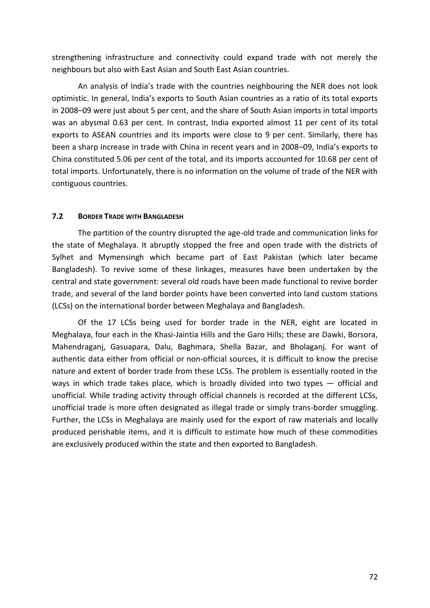strengthening infrastructure and connectivity could expand trade with not merely the neighbours but also with East Asian and South East Asian countries.

An analysis of India's trade with the countries neighbouring the NER does not look optimistic. In general, India's exports to South Asian countries as a ratio of its total exports in 2008–09 were just about 5 per cent, and the share of South Asian imports in total imports was an abysmal 0.63 per cent. In contrast, India exported almost 11 per cent of its total exports to ASEAN countries and its imports were close to 9 per cent. Similarly, there has been a sharp increase in trade with China in recent years and in 2008–09, India's exports to China constituted 5.06 per cent of the total, and its imports accounted for 10.68 per cent of total imports. Unfortunately, there is no information on the volume of trade of the NER with contiguous countries.

## **7.2 BORDER TRADE WITH BANGLADESH**

The partition of the country disrupted the age-old trade and communication links for the state of Meghalaya. It abruptly stopped the free and open trade with the districts of Sylhet and Mymensingh which became part of East Pakistan (which later became Bangladesh). To revive some of these linkages, measures have been undertaken by the central and state government: several old roads have been made functional to revive border trade, and several of the land border points have been converted into land custom stations (LCSs) on the international border between Meghalaya and Bangladesh.

Of the 17 LCSs being used for border trade in the NER, eight are located in Meghalaya, four each in the Khasi-Jaintia Hills and the Garo Hills; these are Dawki, Borsora, Mahendraganj, Gasuapara, Dalu, Baghmara, Shella Bazar, and Bholaganj. For want of authentic data either from official or non-official sources, it is difficult to know the precise nature and extent of border trade from these LCSs. The problem is essentially rooted in the ways in which trade takes place, which is broadly divided into two types — official and unofficial. While trading activity through official channels is recorded at the different LCSs, unofficial trade is more often designated as illegal trade or simply trans-border smuggling. Further, the LCSs in Meghalaya are mainly used for the export of raw materials and locally produced perishable items, and it is difficult to estimate how much of these commodities are exclusively produced within the state and then exported to Bangladesh.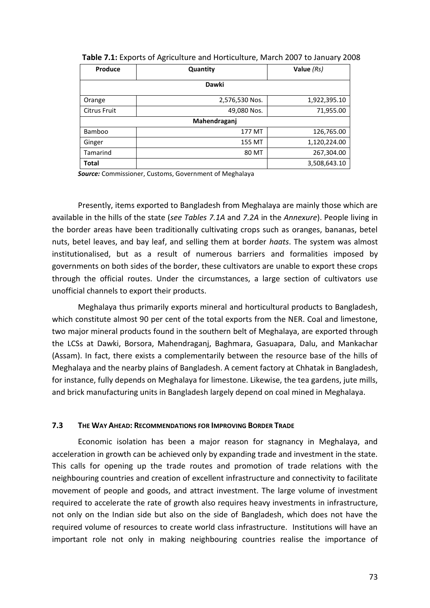| Produce             | Quantity       | Value $(Rs)$ |  |  |
|---------------------|----------------|--------------|--|--|
| Dawki               |                |              |  |  |
| Orange              | 2,576,530 Nos. | 1,922,395.10 |  |  |
| <b>Citrus Fruit</b> | 49,080 Nos.    | 71,955.00    |  |  |
| Mahendraganj        |                |              |  |  |
| <b>Bamboo</b>       | 177 MT         | 126,765.00   |  |  |
| Ginger              | 155 MT         | 1,120,224.00 |  |  |
| Tamarind            | 80 MT          | 267,304.00   |  |  |
| Total               |                | 3,508,643.10 |  |  |

*Source:* Commissioner, Customs, Government of Meghalaya

Presently, items exported to Bangladesh from Meghalaya are mainly those which are available in the hills of the state (*see Tables 7.1A* and *7.2A* in the *Annexure*). People living in the border areas have been traditionally cultivating crops such as oranges, bananas, betel nuts, betel leaves, and bay leaf, and selling them at border *haats*. The system was almost institutionalised, but as a result of numerous barriers and formalities imposed by governments on both sides of the border, these cultivators are unable to export these crops through the official routes. Under the circumstances, a large section of cultivators use unofficial channels to export their products.

Meghalaya thus primarily exports mineral and horticultural products to Bangladesh, which constitute almost 90 per cent of the total exports from the NER. Coal and limestone, two major mineral products found in the southern belt of Meghalaya, are exported through the LCSs at Dawki, Borsora, Mahendraganj, Baghmara, Gasuapara, Dalu, and Mankachar (Assam). In fact, there exists a complementarily between the resource base of the hills of Meghalaya and the nearby plains of Bangladesh. A cement factory at Chhatak in Bangladesh, for instance, fully depends on Meghalaya for limestone. Likewise, the tea gardens, jute mills, and brick manufacturing units in Bangladesh largely depend on coal mined in Meghalaya.

#### **7.3 THE WAY AHEAD: RECOMMENDATIONS FOR IMPROVING BORDER TRADE**

Economic isolation has been a major reason for stagnancy in Meghalaya, and acceleration in growth can be achieved only by expanding trade and investment in the state. This calls for opening up the trade routes and promotion of trade relations with the neighbouring countries and creation of excellent infrastructure and connectivity to facilitate movement of people and goods, and attract investment. The large volume of investment required to accelerate the rate of growth also requires heavy investments in infrastructure, not only on the Indian side but also on the side of Bangladesh, which does not have the required volume of resources to create world class infrastructure. Institutions will have an important role not only in making neighbouring countries realise the importance of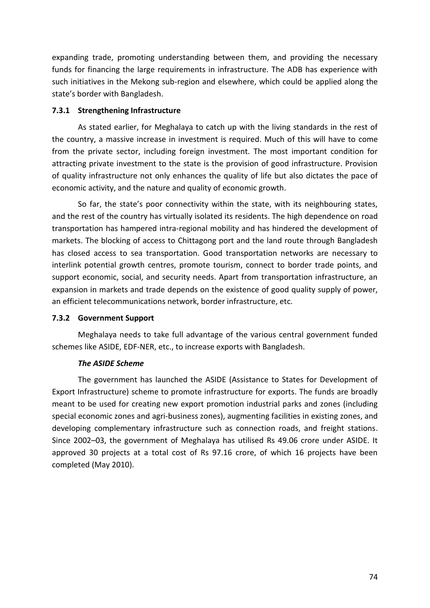expanding trade, promoting understanding between them, and providing the necessary funds for financing the large requirements in infrastructure. The ADB has experience with such initiatives in the Mekong sub-region and elsewhere, which could be applied along the state's border with Bangladesh.

## **7.3.1 Strengthening Infrastructure**

As stated earlier, for Meghalaya to catch up with the living standards in the rest of the country, a massive increase in investment is required. Much of this will have to come from the private sector, including foreign investment. The most important condition for attracting private investment to the state is the provision of good infrastructure. Provision of quality infrastructure not only enhances the quality of life but also dictates the pace of economic activity, and the nature and quality of economic growth.

So far, the state's poor connectivity within the state, with its neighbouring states, and the rest of the country has virtually isolated its residents. The high dependence on road transportation has hampered intra-regional mobility and has hindered the development of markets. The blocking of access to Chittagong port and the land route through Bangladesh has closed access to sea transportation. Good transportation networks are necessary to interlink potential growth centres, promote tourism, connect to border trade points, and support economic, social, and security needs. Apart from transportation infrastructure, an expansion in markets and trade depends on the existence of good quality supply of power, an efficient telecommunications network, border infrastructure, etc.

### **7.3.2 Government Support**

Meghalaya needs to take full advantage of the various central government funded schemes like ASIDE, EDF-NER, etc., to increase exports with Bangladesh.

## *The ASIDE Scheme*

The government has launched the ASIDE (Assistance to States for Development of Export Infrastructure) scheme to promote infrastructure for exports. The funds are broadly meant to be used for creating new export promotion industrial parks and zones (including special economic zones and agri-business zones), augmenting facilities in existing zones, and developing complementary infrastructure such as connection roads, and freight stations. Since 2002–03, the government of Meghalaya has utilised Rs 49.06 crore under ASIDE. It approved 30 projects at a total cost of Rs 97.16 crore, of which 16 projects have been completed (May 2010).